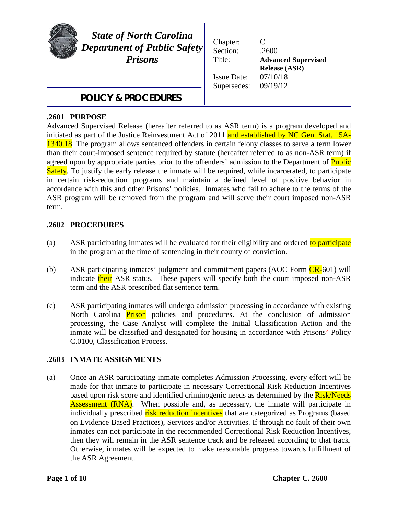

*State of North Carolina Department of Public Safety Prisons*

*POLICY & PROCEDURES*

| Chapter:<br>Section: | C<br>.2600                 |
|----------------------|----------------------------|
| Title:               | <b>Advanced Supervised</b> |
|                      | <b>Release (ASR)</b>       |
| <b>Issue Date:</b>   | 07/10/18                   |
| Supersedes:          | 09/19/12                   |
|                      |                            |

#### j **.2601 PURPOSE**

Advanced Supervised Release (hereafter referred to as ASR term) is a program developed and initiated as part of the Justice Reinvestment Act of 2011 and established by NC Gen. Stat. 15A-1340.18. The program allows sentenced offenders in certain felony classes to serve a term lower than their court-imposed sentence required by statute (hereafter referred to as non-ASR term) if agreed upon by appropriate parties prior to the offenders' admission to the Department of **Public** Safety. To justify the early release the inmate will be required, while incarcerated, to participate in certain risk-reduction programs and maintain a defined level of positive behavior in accordance with this and other Prisons' policies. Inmates who fail to adhere to the terms of the ASR program will be removed from the program and will serve their court imposed non-ASR term.

# **.2602 PROCEDURES**

- (a) ASR participating inmates will be evaluated for their eligibility and ordered to participate in the program at the time of sentencing in their county of conviction.
- (b) ASR participating inmates' judgment and commitment papers (AOC Form  $CR-601$ ) will indicate their ASR status. These papers will specify both the court imposed non-ASR term and the ASR prescribed flat sentence term.
- (c) ASR participating inmates will undergo admission processing in accordance with existing North Carolina **Prison** policies and procedures. At the conclusion of admission processing, the Case Analyst will complete the Initial Classification Action and the inmate will be classified and designated for housing in accordance with Prisons' Policy C.0100, Classification Process.

# **.2603 INMATE ASSIGNMENTS**

(a) Once an ASR participating inmate completes Admission Processing, every effort will be made for that inmate to participate in necessary Correctional Risk Reduction Incentives based upon risk score and identified criminogenic needs as determined by the **Risk/Needs Assessment (RNA).** When possible and, as necessary, the inmate will participate in individually prescribed risk reduction incentives that are categorized as Programs (based on Evidence Based Practices), Services and/or Activities. If through no fault of their own inmates can not participate in the recommended Correctional Risk Reduction Incentives, then they will remain in the ASR sentence track and be released according to that track. Otherwise, inmates will be expected to make reasonable progress towards fulfillment of the ASR Agreement.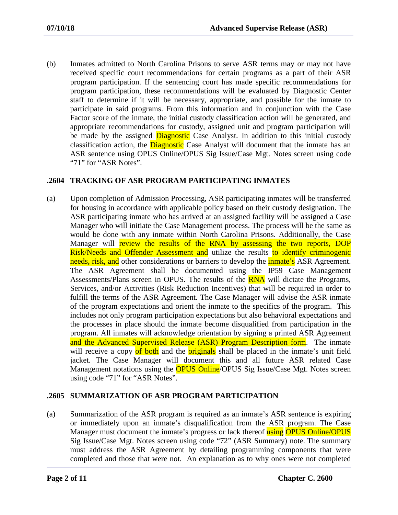(b) Inmates admitted to North Carolina Prisons to serve ASR terms may or may not have received specific court recommendations for certain programs as a part of their ASR program participation. If the sentencing court has made specific recommendations for program participation, these recommendations will be evaluated by Diagnostic Center staff to determine if it will be necessary, appropriate, and possible for the inmate to participate in said programs. From this information and in conjunction with the Case Factor score of the inmate, the initial custody classification action will be generated, and appropriate recommendations for custody, assigned unit and program participation will be made by the assigned **Diagnostic** Case Analyst. In addition to this initial custody classification action, the **Diagnostic** Case Analyst will document that the inmate has an ASR sentence using OPUS Online/OPUS Sig Issue/Case Mgt. Notes screen using code "71" for "ASR Notes".

# **.2604 TRACKING OF ASR PROGRAM PARTICIPATING INMATES**

(a) Upon completion of Admission Processing, ASR participating inmates will be transferred for housing in accordance with applicable policy based on their custody designation. The ASR participating inmate who has arrived at an assigned facility will be assigned a Case Manager who will initiate the Case Management process. The process will be the same as would be done with any inmate within North Carolina Prisons. Additionally, the Case Manager will review the results of the RNA by assessing the two reports, DOP Risk/Needs and Offender Assessment and utilize the results to identify criminogenic needs, risk, and other considerations or barriers to develop the *inmate's* ASR Agreement. The ASR Agreement shall be documented using the IP59 Case Management Assessments/Plans screen in OPUS. The results of the **RNA** will dictate the Programs, Services, and/or Activities (Risk Reduction Incentives) that will be required in order to fulfill the terms of the ASR Agreement. The Case Manager will advise the ASR inmate of the program expectations and orient the inmate to the specifics of the program. This includes not only program participation expectations but also behavioral expectations and the processes in place should the inmate become disqualified from participation in the program. All inmates will acknowledge orientation by signing a printed ASR Agreement and the Advanced Supervised Release (ASR) Program Description form. The inmate will receive a copy of both and the **originals** shall be placed in the inmate's unit field jacket. The Case Manager will document this and all future ASR related Case Management notations using the **OPUS Online**/OPUS Sig Issue/Case Mgt. Notes screen using code "71" for "ASR Notes".

# **.2605 SUMMARIZATION OF ASR PROGRAM PARTICIPATION**

(a) Summarization of the ASR program is required as an inmate's ASR sentence is expiring or immediately upon an inmate's disqualification from the ASR program. The Case Manager must document the inmate's progress or lack thereof using OPUS Online/OPUS Sig Issue/Case Mgt. Notes screen using code "72" (ASR Summary) note. The summary must address the ASR Agreement by detailing programming components that were completed and those that were not. An explanation as to why ones were not completed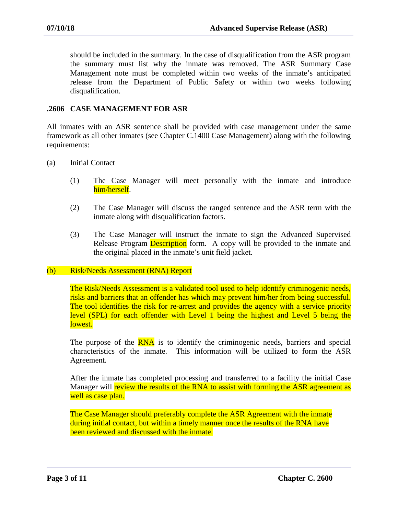should be included in the summary. In the case of disqualification from the ASR program the summary must list why the inmate was removed. The ASR Summary Case Management note must be completed within two weeks of the inmate's anticipated release from the Department of Public Safety or within two weeks following disqualification.

## **.2606 CASE MANAGEMENT FOR ASR**

All inmates with an ASR sentence shall be provided with case management under the same framework as all other inmates (see Chapter C.1400 Case Management) along with the following requirements:

- (a) Initial Contact
	- (1) The Case Manager will meet personally with the inmate and introduce him/herself.
	- (2) The Case Manager will discuss the ranged sentence and the ASR term with the inmate along with disqualification factors.
	- (3) The Case Manager will instruct the inmate to sign the Advanced Supervised Release Program **Description** form. A copy will be provided to the inmate and the original placed in the inmate's unit field jacket.

#### (b) Risk/Needs Assessment (RNA) Report

The Risk/Needs Assessment is a validated tool used to help identify criminogenic needs, risks and barriers that an offender has which may prevent him/her from being successful. The tool identifies the risk for re-arrest and provides the agency with a service priority level (SPL) for each offender with Level 1 being the highest and Level 5 being the lowest.

The purpose of the **RNA** is to identify the criminogenic needs, barriers and special characteristics of the inmate. This information will be utilized to form the ASR Agreement.

After the inmate has completed processing and transferred to a facility the initial Case Manager will review the results of the RNA to assist with forming the ASR agreement as well as case plan.

The Case Manager should preferably complete the ASR Agreement with the inmate during initial contact, but within a timely manner once the results of the RNA have been reviewed and discussed with the inmate.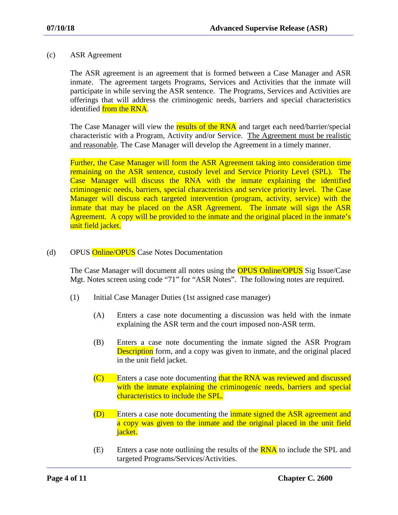### (c) ASR Agreement

The ASR agreement is an agreement that is formed between a Case Manager and ASR inmate. The agreement targets Programs, Services and Activities that the inmate will participate in while serving the ASR sentence. The Programs, Services and Activities are offerings that will address the criminogenic needs, barriers and special characteristics identified from the RNA.

The Case Manager will view the results of the RNA and target each need/barrier/special characteristic with a Program, Activity and/or Service. The Agreement must be realistic and reasonable. The Case Manager will develop the Agreement in a timely manner.

Further, the Case Manager will form the ASR Agreement taking into consideration time remaining on the ASR sentence, custody level and Service Priority Level (SPL). The Case Manager will discuss the RNA with the inmate explaining the identified criminogenic needs, barriers, special characteristics and service priority level. The Case Manager will discuss each targeted intervention (program, activity, service) with the inmate that may be placed on the ASR Agreement. The inmate will sign the ASR Agreement. A copy will be provided to the inmate and the original placed in the inmate's unit field jacket.

## (d) OPUS **Online/OPUS** Case Notes Documentation

The Case Manager will document all notes using the **OPUS Online/OPUS** Sig Issue/Case Mgt. Notes screen using code "71" for "ASR Notes". The following notes are required.

- (1) Initial Case Manager Duties (1st assigned case manager)
	- (A) Enters a case note documenting a discussion was held with the inmate explaining the ASR term and the court imposed non-ASR term.
	- (B) Enters a case note documenting the inmate signed the ASR Program **Description** form, and a copy was given to inmate, and the original placed in the unit field jacket.
	- (C) Enters a case note documenting that the RNA was reviewed and discussed with the inmate explaining the criminogenic needs, barriers and special characteristics to include the SPL.
	- (D) Enters a case note documenting the inmate signed the ASR agreement and a copy was given to the inmate and the original placed in the unit field jacket.
	- $(E)$  Enters a case note outlining the results of the  $\overline{RNA}$  to include the SPL and targeted Programs/Services/Activities.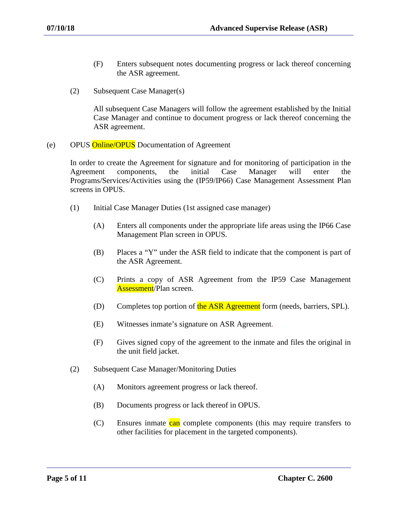- (F) Enters subsequent notes documenting progress or lack thereof concerning the ASR agreement.
- (2) Subsequent Case Manager(s)

All subsequent Case Managers will follow the agreement established by the Initial Case Manager and continue to document progress or lack thereof concerning the ASR agreement.

(e) OPUS Online/OPUS Documentation of Agreement

In order to create the Agreement for signature and for monitoring of participation in the Agreement components, the initial Case Manager will enter the Programs/Services/Activities using the (IP59/IP66) Case Management Assessment Plan screens in OPUS.

- (1) Initial Case Manager Duties (1st assigned case manager)
	- (A) Enters all components under the appropriate life areas using the IP66 Case Management Plan screen in OPUS.
	- (B) Places a "Y" under the ASR field to indicate that the component is part of the ASR Agreement.
	- (C) Prints a copy of ASR Agreement from the IP59 Case Management Assessment/Plan screen.
	- (D) Completes top portion of the ASR Agreement form (needs, barriers, SPL).
	- (E) Witnesses inmate's signature on ASR Agreement.
	- (F) Gives signed copy of the agreement to the inmate and files the original in the unit field jacket.
- (2) Subsequent Case Manager/Monitoring Duties
	- (A) Monitors agreement progress or lack thereof.
	- (B) Documents progress or lack thereof in OPUS.
	- (C) Ensures inmate can complete components (this may require transfers to other facilities for placement in the targeted components).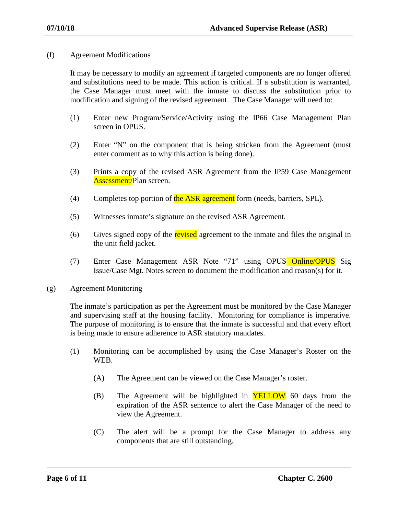(f) Agreement Modifications

It may be necessary to modify an agreement if targeted components are no longer offered and substitutions need to be made. This action is critical. If a substitution is warranted, the Case Manager must meet with the inmate to discuss the substitution prior to modification and signing of the revised agreement. The Case Manager will need to:

- (1) Enter new Program/Service/Activity using the IP66 Case Management Plan screen in OPUS.
- (2) Enter "N" on the component that is being stricken from the Agreement (must enter comment as to why this action is being done).
- (3) Prints a copy of the revised ASR Agreement from the IP59 Case Management Assessment/Plan screen.
- (4) Completes top portion of the ASR agreement form (needs, barriers, SPL).
- (5) Witnesses inmate's signature on the revised ASR Agreement.
- (6) Gives signed copy of the revised agreement to the inmate and files the original in the unit field jacket.
- (7) Enter Case Management ASR Note "71" using OPUS Online/OPUS Sig Issue/Case Mgt. Notes screen to document the modification and reason(s) for it.
- (g) Agreement Monitoring

The inmate's participation as per the Agreement must be monitored by the Case Manager and supervising staff at the housing facility. Monitoring for compliance is imperative. The purpose of monitoring is to ensure that the inmate is successful and that every effort is being made to ensure adherence to ASR statutory mandates.

- (1) Monitoring can be accomplished by using the Case Manager's Roster on the WEB.
	- (A) The Agreement can be viewed on the Case Manager's roster.
	- $(B)$  The Agreement will be highlighted in **YELLOW** 60 days from the expiration of the ASR sentence to alert the Case Manager of the need to view the Agreement.
	- (C) The alert will be a prompt for the Case Manager to address any components that are still outstanding.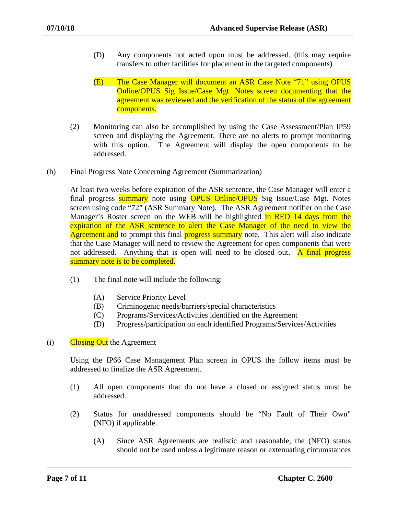- (D) Any components not acted upon must be addressed. (this may require transfers to other facilities for placement in the targeted components)
- (E) The Case Manager will document an ASR Case Note "71" using OPUS Online/OPUS Sig Issue/Case Mgt. Notes screen documenting that the agreement was reviewed and the verification of the status of the agreement components.
- (2) Monitoring can also be accomplished by using the Case Assessment/Plan IP59 screen and displaying the Agreement. There are no alerts to prompt monitoring with this option. The Agreement will display the open components to be addressed.
- (h) Final Progress Note Concerning Agreement (Summarization)

At least two weeks before expiration of the ASR sentence, the Case Manager will enter a final progress **summary** note using **OPUS Online/OPUS** Sig Issue/Case Mgt. Notes screen using code "72" (ASR Summary Note). The ASR Agreement notifier on the Case Manager's Roster screen on the WEB will be highlighted in RED 14 days from the expiration of the ASR sentence to alert the Case Manager of the need to view the Agreement and to prompt this final progress summary note. This alert will also indicate that the Case Manager will need to review the Agreement for open components that were not addressed. Anything that is open will need to be closed out. A final progress summary note is to be completed.

- (1) The final note will include the following:
	- (A) Service Priority Level
	- (B) Criminogenic needs/barriers/special characteristics
	- (C) Programs/Services/Activities identified on the Agreement
	- (D) Progress/participation on each identified Programs/Services/Activities
- $(i)$  Closing Out the Agreement

Using the IP66 Case Management Plan screen in OPUS the follow items must be addressed to finalize the ASR Agreement.

- (1) All open components that do not have a closed or assigned status must be addressed.
- (2) Status for unaddressed components should be "No Fault of Their Own" (NFO) if applicable.
	- (A) Since ASR Agreements are realistic and reasonable, the (NFO) status should not be used unless a legitimate reason or extenuating circumstances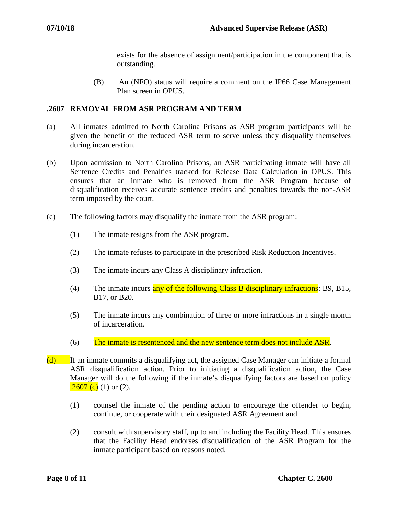exists for the absence of assignment/participation in the component that is outstanding.

(B) An (NFO) status will require a comment on the IP66 Case Management Plan screen in OPUS.

## **.2607 REMOVAL FROM ASR PROGRAM AND TERM**

- (a) All inmates admitted to North Carolina Prisons as ASR program participants will be given the benefit of the reduced ASR term to serve unless they disqualify themselves during incarceration.
- (b) Upon admission to North Carolina Prisons, an ASR participating inmate will have all Sentence Credits and Penalties tracked for Release Data Calculation in OPUS. This ensures that an inmate who is removed from the ASR Program because of disqualification receives accurate sentence credits and penalties towards the non-ASR term imposed by the court.
- (c) The following factors may disqualify the inmate from the ASR program:
	- (1) The inmate resigns from the ASR program.
	- (2) The inmate refuses to participate in the prescribed Risk Reduction Incentives.
	- (3) The inmate incurs any Class A disciplinary infraction.
	- (4) The inmate incurs any of the following Class B disciplinary infractions: B9, B15, B17, or B20.
	- (5) The inmate incurs any combination of three or more infractions in a single month of incarceration.
	- (6) The inmate is resentenced and the new sentence term does not include ASR.
- $(d)$  If an inmate commits a disqualifying act, the assigned Case Manager can initiate a formal ASR disqualification action. Prior to initiating a disqualification action, the Case Manager will do the following if the inmate's disqualifying factors are based on policy  $.2607$  (c) (1) or (2).
	- (1) counsel the inmate of the pending action to encourage the offender to begin, continue, or cooperate with their designated ASR Agreement and
	- (2) consult with supervisory staff, up to and including the Facility Head. This ensures that the Facility Head endorses disqualification of the ASR Program for the inmate participant based on reasons noted.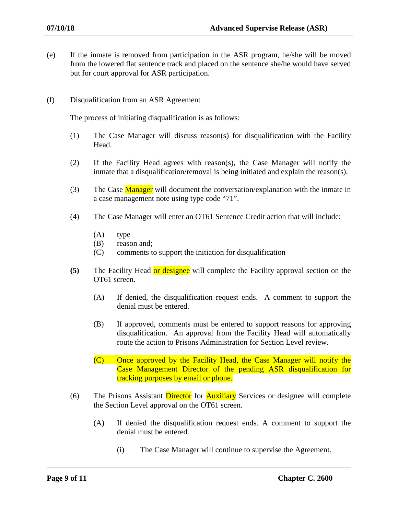- (e) If the inmate is removed from participation in the ASR program, he/she will be moved from the lowered flat sentence track and placed on the sentence she/he would have served but for court approval for ASR participation.
- (f) Disqualification from an ASR Agreement

The process of initiating disqualification is as follows:

- (1) The Case Manager will discuss reason(s) for disqualification with the Facility Head.
- (2) If the Facility Head agrees with reason(s), the Case Manager will notify the inmate that a disqualification/removal is being initiated and explain the reason(s).
- (3) The Case **Manager** will document the conversation/explanation with the inmate in a case management note using type code "71".
- (4) The Case Manager will enter an OT61 Sentence Credit action that will include:
	- (A) type
	- (B) reason and;
	- (C) comments to support the initiation for disqualification
- **(5)** The Facility Head or designee will complete the Facility approval section on the OT61 screen.
	- (A) If denied, the disqualification request ends. A comment to support the denial must be entered.
	- (B) If approved, comments must be entered to support reasons for approving disqualification. An approval from the Facility Head will automatically route the action to Prisons Administration for Section Level review.
	- (C) Once approved by the Facility Head, the Case Manager will notify the Case Management Director of the pending ASR disqualification for tracking purposes by email or phone.
- (6) The Prisons Assistant Director for Auxiliary Services or designee will complete the Section Level approval on the OT61 screen.
	- (A) If denied the disqualification request ends. A comment to support the denial must be entered.
		- (i) The Case Manager will continue to supervise the Agreement.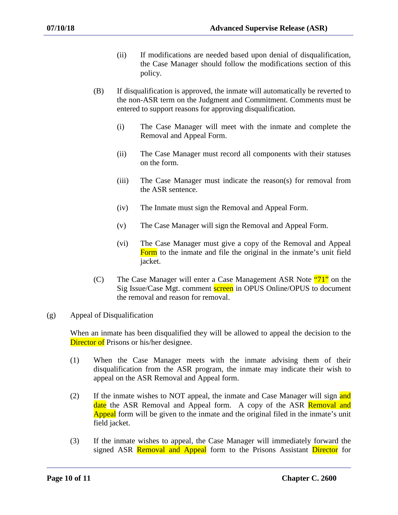- (ii) If modifications are needed based upon denial of disqualification, the Case Manager should follow the modifications section of this policy.
- (B) If disqualification is approved, the inmate will automatically be reverted to the non-ASR term on the Judgment and Commitment. Comments must be entered to support reasons for approving disqualification.
	- (i) The Case Manager will meet with the inmate and complete the Removal and Appeal Form.
	- (ii) The Case Manager must record all components with their statuses on the form.
	- (iii) The Case Manager must indicate the reason(s) for removal from the ASR sentence.
	- (iv) The Inmate must sign the Removal and Appeal Form.
	- (v) The Case Manager will sign the Removal and Appeal Form.
	- (vi) The Case Manager must give a copy of the Removal and Appeal Form to the inmate and file the original in the inmate's unit field jacket.
- (C) The Case Manager will enter a Case Management ASR Note  $\frac{471}{10}$  on the Sig Issue/Case Mgt. comment **screen** in OPUS Online/OPUS to document the removal and reason for removal.
- (g) Appeal of Disqualification

When an inmate has been disqualified they will be allowed to appeal the decision to the **Director of** Prisons or his/her designee.

- (1) When the Case Manager meets with the inmate advising them of their disqualification from the ASR program, the inmate may indicate their wish to appeal on the ASR Removal and Appeal form.
- (2) If the inmate wishes to NOT appeal, the inmate and Case Manager will sign and date the ASR Removal and Appeal form. A copy of the ASR Removal and Appeal form will be given to the inmate and the original filed in the inmate's unit field jacket.
- (3) If the inmate wishes to appeal, the Case Manager will immediately forward the signed ASR Removal and Appeal form to the Prisons Assistant Director for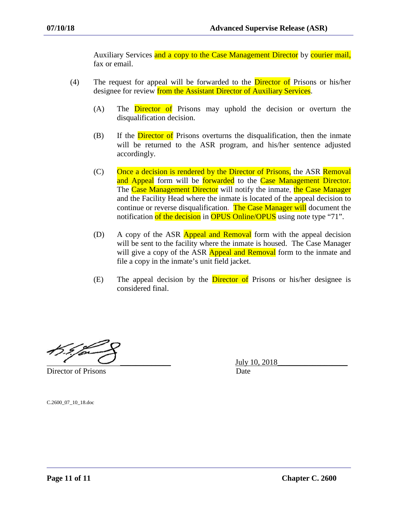Auxiliary Services and a copy to the Case Management Director by courier mail, fax or email.

- (4) The request for appeal will be forwarded to the Director of Prisons or his/her designee for review from the Assistant Director of Auxiliary Services.
	- (A) The Director of Prisons may uphold the decision or overturn the disqualification decision.
	- $(B)$  If the **Director of** Prisons overturns the disqualification, then the inmate will be returned to the ASR program, and his/her sentence adjusted accordingly.
	- $(C)$  Once a decision is rendered by the Director of Prisons, the ASR Removal and Appeal form will be forwarded to the Case Management Director. The Case Management Director will notify the inmate, the Case Manager and the Facility Head where the inmate is located of the appeal decision to continue or reverse disqualification. The Case Manager will document the notification of the decision in OPUS Online/OPUS using note type "71".
	- (D) A copy of the ASR **Appeal and Removal** form with the appeal decision will be sent to the facility where the inmate is housed. The Case Manager will give a copy of the ASR **Appeal and Removal** form to the inmate and file a copy in the inmate's unit field jacket.
	- (E) The appeal decision by the **Director of** Prisons or his/her designee is considered final.

Director of Prisons Date

\_\_\_\_\_\_\_\_\_\_\_\_\_ July 10, 2018\_\_\_\_\_\_\_\_\_\_\_\_\_\_\_\_\_\_

C.2600\_07\_10\_18.doc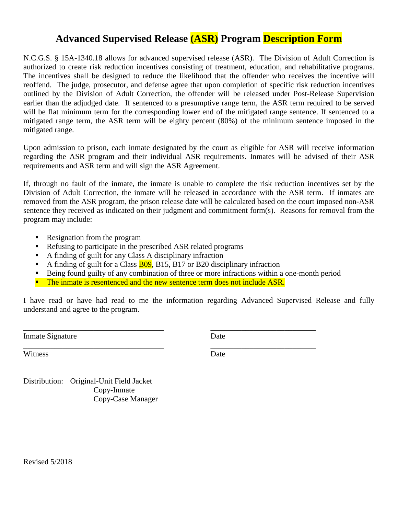# **Advanced Supervised Release (ASR) Program Description Form**

N.C.G.S. § 15A-1340.18 allows for advanced supervised release (ASR). The Division of Adult Correction is authorized to create risk reduction incentives consisting of treatment, education, and rehabilitative programs. The incentives shall be designed to reduce the likelihood that the offender who receives the incentive will reoffend. The judge, prosecutor, and defense agree that upon completion of specific risk reduction incentives outlined by the Division of Adult Correction, the offender will be released under Post-Release Supervision earlier than the adjudged date. If sentenced to a presumptive range term, the ASR term required to be served will be flat minimum term for the corresponding lower end of the mitigated range sentence. If sentenced to a mitigated range term, the ASR term will be eighty percent (80%) of the minimum sentence imposed in the mitigated range.

Upon admission to prison, each inmate designated by the court as eligible for ASR will receive information regarding the ASR program and their individual ASR requirements. Inmates will be advised of their ASR requirements and ASR term and will sign the ASR Agreement.

If, through no fault of the inmate, the inmate is unable to complete the risk reduction incentives set by the Division of Adult Correction, the inmate will be released in accordance with the ASR term. If inmates are removed from the ASR program, the prison release date will be calculated based on the court imposed non-ASR sentence they received as indicated on their judgment and commitment form(s). Reasons for removal from the program may include:

- Resignation from the program
- Refusing to participate in the prescribed ASR related programs
- A finding of guilt for any Class A disciplinary infraction
- A finding of guilt for a Class **B09**, B15, B17 or B20 disciplinary infraction
- Being found guilty of any combination of three or more infractions within a one-month period
- **The inmate is resentenced and the new sentence term does not include ASR.**

\_\_\_\_\_\_\_\_\_\_\_\_\_\_\_\_\_\_\_\_\_\_\_\_\_\_\_\_\_\_\_\_\_\_\_\_ \_\_\_\_\_\_\_\_\_\_\_\_\_\_\_\_\_\_\_\_\_\_\_\_\_\_\_

\_\_\_\_\_\_\_\_\_\_\_\_\_\_\_\_\_\_\_\_\_\_\_\_\_\_\_\_\_\_\_\_\_\_\_\_ \_\_\_\_\_\_\_\_\_\_\_\_\_\_\_\_\_\_\_\_\_\_\_\_\_\_\_

I have read or have had read to me the information regarding Advanced Supervised Release and fully understand and agree to the program.

Inmate Signature Date

Witness Date

Distribution: Original-Unit Field Jacket Copy-Inmate Copy-Case Manager